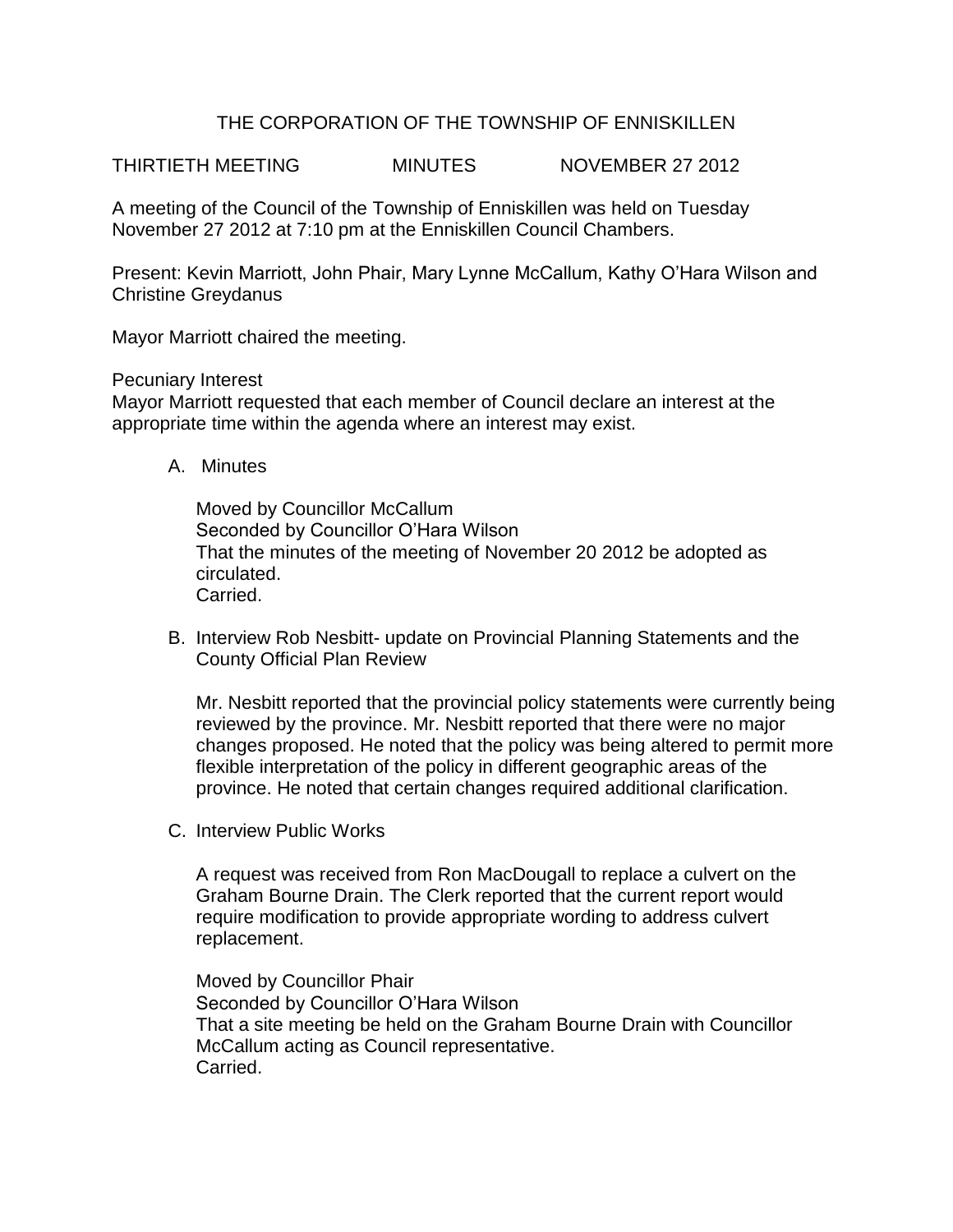## THE CORPORATION OF THE TOWNSHIP OF ENNISKILLEN

THIRTIETH MEETING MINUTES NOVEMBER 27 2012

A meeting of the Council of the Township of Enniskillen was held on Tuesday November 27 2012 at 7:10 pm at the Enniskillen Council Chambers.

Present: Kevin Marriott, John Phair, Mary Lynne McCallum, Kathy O'Hara Wilson and Christine Greydanus

Mayor Marriott chaired the meeting.

Pecuniary Interest

Mayor Marriott requested that each member of Council declare an interest at the appropriate time within the agenda where an interest may exist.

A. Minutes

Moved by Councillor McCallum Seconded by Councillor O'Hara Wilson That the minutes of the meeting of November 20 2012 be adopted as circulated. Carried.

B. Interview Rob Nesbitt- update on Provincial Planning Statements and the County Official Plan Review

Mr. Nesbitt reported that the provincial policy statements were currently being reviewed by the province. Mr. Nesbitt reported that there were no major changes proposed. He noted that the policy was being altered to permit more flexible interpretation of the policy in different geographic areas of the province. He noted that certain changes required additional clarification.

C. Interview Public Works

A request was received from Ron MacDougall to replace a culvert on the Graham Bourne Drain. The Clerk reported that the current report would require modification to provide appropriate wording to address culvert replacement.

Moved by Councillor Phair Seconded by Councillor O'Hara Wilson That a site meeting be held on the Graham Bourne Drain with Councillor McCallum acting as Council representative. Carried.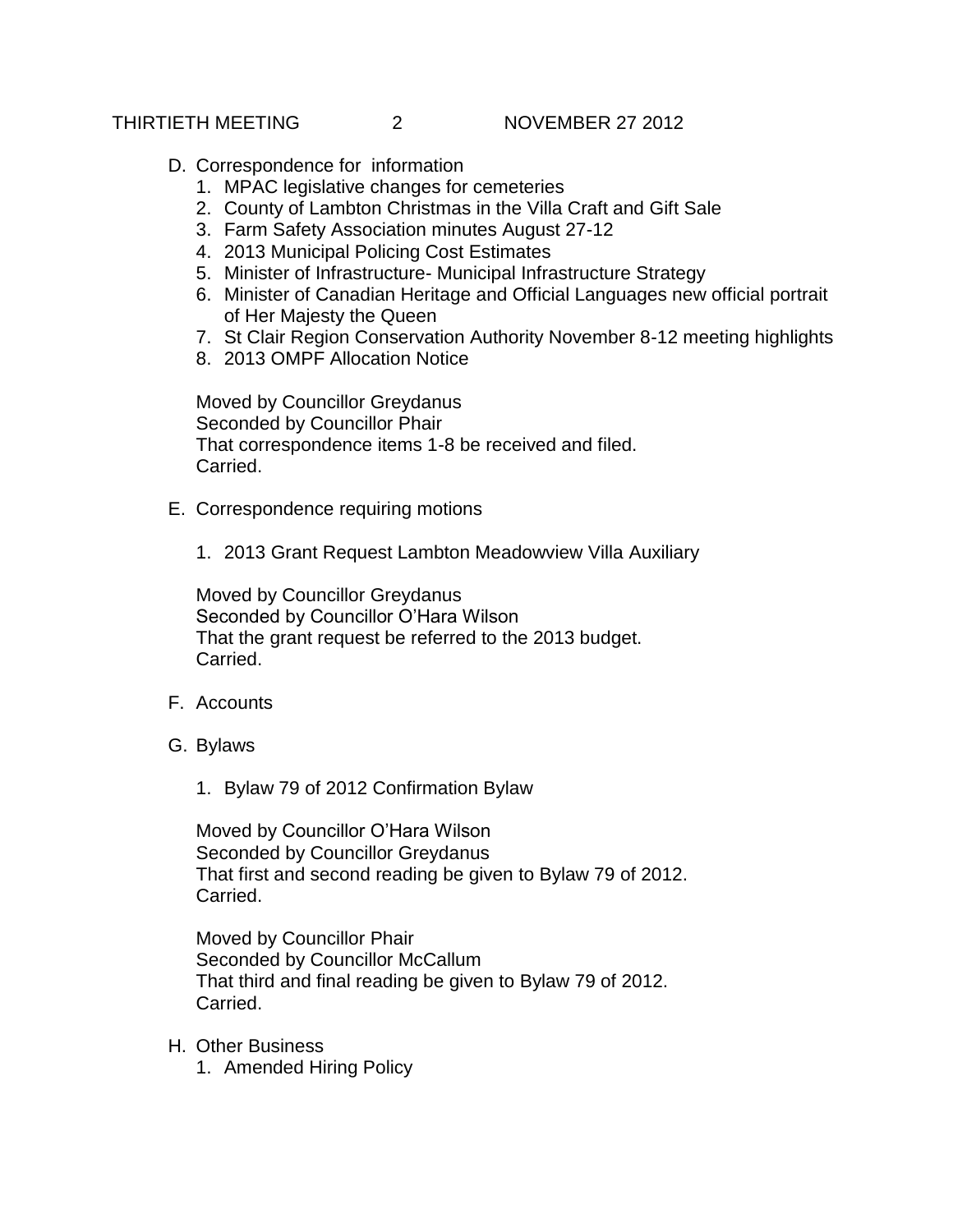## THIRTIETH MEETING 2 NOVEMBER 27 2012

- D. Correspondence for information
	- 1. MPAC legislative changes for cemeteries
	- 2. County of Lambton Christmas in the Villa Craft and Gift Sale
	- 3. Farm Safety Association minutes August 27-12
	- 4. 2013 Municipal Policing Cost Estimates
	- 5. Minister of Infrastructure- Municipal Infrastructure Strategy
	- 6. Minister of Canadian Heritage and Official Languages new official portrait of Her Majesty the Queen
	- 7. St Clair Region Conservation Authority November 8-12 meeting highlights
	- 8. 2013 OMPF Allocation Notice

Moved by Councillor Greydanus Seconded by Councillor Phair That correspondence items 1-8 be received and filed. Carried.

- E. Correspondence requiring motions
	- 1. 2013 Grant Request Lambton Meadowview Villa Auxiliary

Moved by Councillor Greydanus Seconded by Councillor O'Hara Wilson That the grant request be referred to the 2013 budget. Carried.

- F. Accounts
- G. Bylaws
	- 1. Bylaw 79 of 2012 Confirmation Bylaw

Moved by Councillor O'Hara Wilson Seconded by Councillor Greydanus That first and second reading be given to Bylaw 79 of 2012. Carried.

Moved by Councillor Phair Seconded by Councillor McCallum That third and final reading be given to Bylaw 79 of 2012. Carried.

- H. Other Business
	- 1. Amended Hiring Policy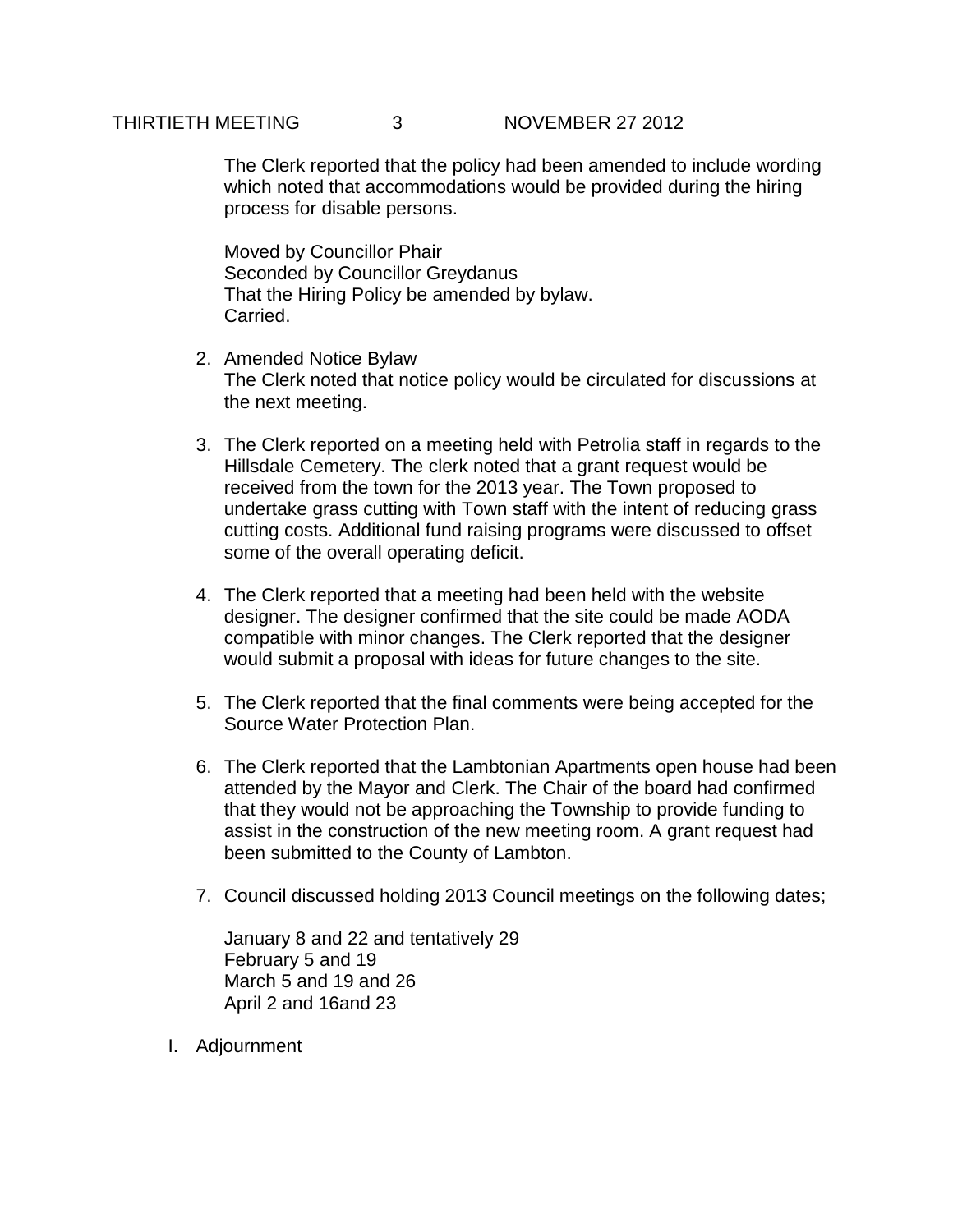## THIRTIETH MEETING 3 NOVEMBER 27 2012

The Clerk reported that the policy had been amended to include wording which noted that accommodations would be provided during the hiring process for disable persons.

Moved by Councillor Phair Seconded by Councillor Greydanus That the Hiring Policy be amended by bylaw. Carried.

- 2. Amended Notice Bylaw The Clerk noted that notice policy would be circulated for discussions at the next meeting.
- 3. The Clerk reported on a meeting held with Petrolia staff in regards to the Hillsdale Cemetery. The clerk noted that a grant request would be received from the town for the 2013 year. The Town proposed to undertake grass cutting with Town staff with the intent of reducing grass cutting costs. Additional fund raising programs were discussed to offset some of the overall operating deficit.
- 4. The Clerk reported that a meeting had been held with the website designer. The designer confirmed that the site could be made AODA compatible with minor changes. The Clerk reported that the designer would submit a proposal with ideas for future changes to the site.
- 5. The Clerk reported that the final comments were being accepted for the Source Water Protection Plan.
- 6. The Clerk reported that the Lambtonian Apartments open house had been attended by the Mayor and Clerk. The Chair of the board had confirmed that they would not be approaching the Township to provide funding to assist in the construction of the new meeting room. A grant request had been submitted to the County of Lambton.
- 7. Council discussed holding 2013 Council meetings on the following dates;

January 8 and 22 and tentatively 29 February 5 and 19 March 5 and 19 and 26 April 2 and 16and 23

I. Adjournment